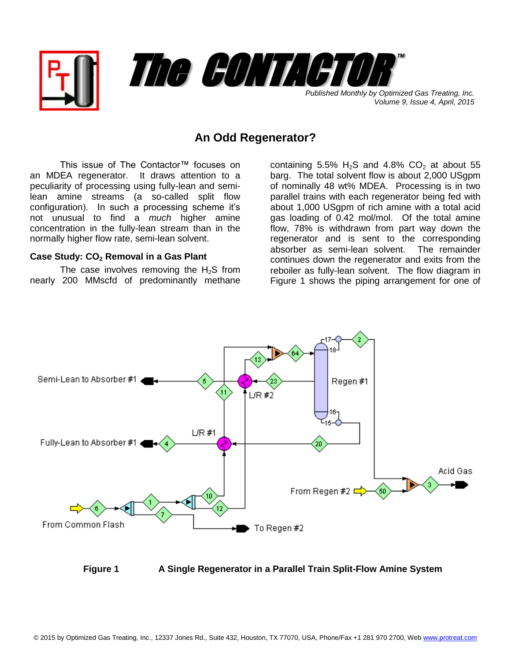

## **An Odd Regenerator?**

This issue of The Contactor™ focuses on an MDEA regenerator. It draws attention to a peculiarity of processing using fully-lean and semilean amine streams (a so-called split flow configuration). In such a processing scheme it's not unusual to find a *much* higher amine concentration in the fully-lean stream than in the normally higher flow rate, semi-lean solvent.

## **Case Study: CO<sup>2</sup> Removal in a Gas Plant**

The case involves removing the  $H_2S$  from nearly 200 MMscfd of predominantly methane containing 5.5%  $H_2S$  and 4.8%  $CO_2$  at about 55 barg. The total solvent flow is about 2,000 USgpm of nominally 48 wt% MDEA. Processing is in two parallel trains with each regenerator being fed with about 1,000 USgpm of rich amine with a total acid gas loading of 0.42 mol/mol. Of the total amine flow, 78% is withdrawn from part way down the regenerator and is sent to the corresponding absorber as semi-lean solvent. The remainder continues down the regenerator and exits from the reboiler as fully-lean solvent. The flow diagram in Figure 1 shows the piping arrangement for one of



**Figure 1 A Single Regenerator in a Parallel Train Split-Flow Amine System**